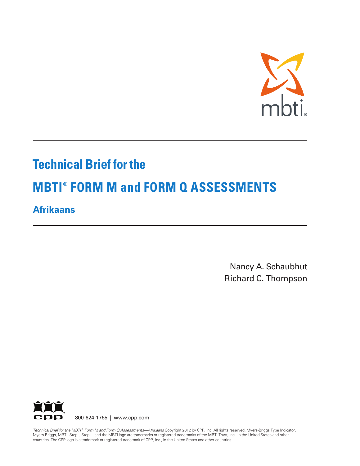

# **Technical Brief for the**

# **MBTI ® FORM M and FORM Q ASSESSMENTS**

# **Afrikaans**

Nancy A. Schaubhut Richard C. Thompson



Technical Brief for the MBTI® Form M and Form Q Assessments—Afrikaans Copyright 2012 by CPP, Inc. All rights reserved. Myers-Briggs Type Indicator, Myers-Briggs, MBTI, Step I, Step II, and the MBTI logo are trademarks or registered trademarks of the MBTI Trust, Inc., in the United States and other countries. The CPP logo is a trademark or registered trademark of CPP, Inc., in the United States and other countries.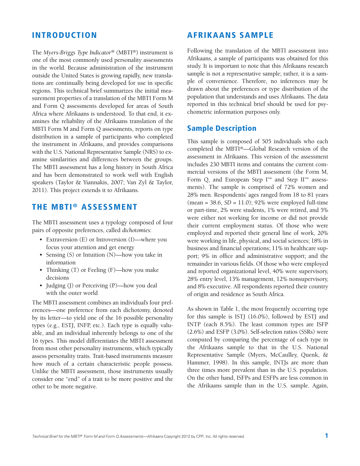#### **INTRODUCTION**

The *Myers-Briggs Type Indicator®* (MBTI®) instrument is one of the most commonly used personality assessments in the world. Because administration of the instrument outside the United States is growing rapidly, new translations are continually being developed for use in specific regions. This technical brief summarizes the initial measurement properties of a translation of the MBTI Form M and Form Q assessments developed for areas of South Africa where Afrikaans is understood. To that end, it examines the reliability of the Afrikaans translation of the MBTI Form M and Form Q assessments, reports on type distribution in a sample of participants who completed the instrument in Afrikaans, and provides comparisons with the U.S. National Representative Sample (NRS) to examine similarities and differences between the groups. The MBTI assessment has a long history in South Africa and has been demonstrated to work well with English speakers (Taylor & Yiannakis, 2007; Van Zyl & Taylor, 2011). This project extends it to Afrikaans.

## **THE MBTI ® ASSESSMENT**

The MBTI assessment uses a typology composed of four pairs of opposite preferences, called *dichotomies:*

- Extraversion (E) or Introversion (I)—where you focus your attention and get energy
- Sensing (S) or Intuition (N)—how you take in information
- Thinking (T) or Feeling (F)—how you make decisions
- Judging (J) or Perceiving (P)—how you deal with the outer world

The MBTI assessment combines an individual's four preferences—one preference from each dichotomy, denoted by its letter—to yield one of the 16 possible personality types (e.g., ESTJ, INFP, etc.). Each type is equally valuable, and an individual inherently belongs to one of the 16 types. This model differentiates the MBTI assessment from most other personality instruments, which typically assess personality traits. Trait-based instruments measure how much of a certain characteristic people possess. Unlike the MBTI assessment, those instruments usually consider one "end" of a trait to be more positive and the other to be more negative.

### **AFRIKAANS SAMPLE**

Following the translation of the MBTI assessment into Afrikaans, a sample of participants was obtained for this study. It is important to note that this Afrikaans research sample is not a representative sample; rather, it is a sample of convenience. Therefore, no inferences may be drawn about the preferences or type distribution of the population that understands and uses Afrikaans. The data reported in this technical brief should be used for psychometric information purposes only.

#### **Sample Description**

This sample is composed of 505 individuals who each completed the MBTI®—Global Research version of the assessment in Afrikaans. This version of the assessment includes 230 MBTI items and contains the current commercial versions of the MBTI assessment (the Form M, Form Q, and European Step  $I^{\scriptscriptstyle TM}$  and Step  $II^{\scriptscriptstyle TM}$  assessments). The sample is comprised of 72% women and 28% men. Respondents' ages ranged from 18 to 81 years (mean = 38.6, *SD* = 11.0); 92% were employed full-time or part-time, 2% were students, 1% were retired, and 5% were either not working for income or did not provide their current employment status. Of those who were employed and reported their general line of work, 20% were working in life, physical, and social sciences; 18% in business and financial operations; 11% in healthcare support; 9% in office and administrative support; and the remainder in various fields. Of those who were employed and reported organizational level, 40% were supervisory, 28% entry level, 13% management, 12% nonsupervisory, and 8% executive. All respondents reported their country of origin and residence as South Africa.

As shown in Table 1, the most frequently occurring type for this sample is ISTJ (16.0%), followed by ESTJ and INTP (each 8.5%). The least common types are ISFP (2.6%) and ESFP (3.0%). Self-selection ratios (SSRs) were computed by comparing the percentage of each type in the Afrikaans sample to that in the U.S. National Representative Sample (Myers, McCaulley, Quenk, & Hammer, 1998). In this sample, INTJs are more than three times more prevalent than in the U.S. population. On the other hand, ISFPs and ESFPs are less common in the Afrikaans sample than in the U.S. sample. Again,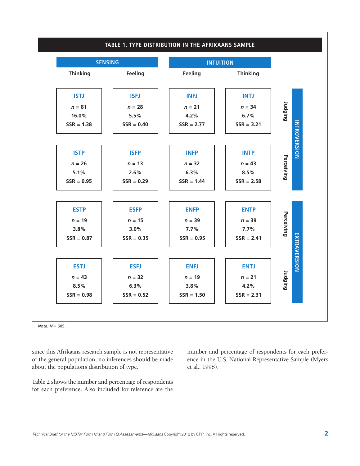

*Note: N* = 505.

since this Afrikaans research sample is not representative of the general population, no inferences should be made about the population's distribution of type.

Table 2 shows the number and percentage of respondents for each preference. Also included for reference are the number and percentage of respondents for each preference in the U.S. National Representative Sample (Myers et al., 1998).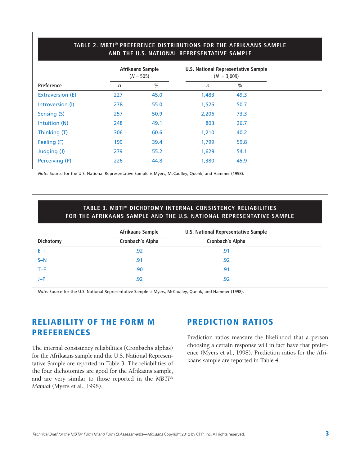|                         |     | Afrikaans Sample<br>$(N = 505)$ | U.S. National Representative Sample<br>$(N = 3,009)$ |               |  |
|-------------------------|-----|---------------------------------|------------------------------------------------------|---------------|--|
| Preference              | n   | $\frac{0}{0}$                   | $\sqrt{n}$                                           | $\frac{0}{0}$ |  |
| <b>Extraversion (E)</b> | 227 | 45.0                            | 1,483                                                | 49.3          |  |
| Introversion (I)        | 278 | 55.0                            | 1,526                                                | 50.7          |  |
| Sensing (S)             | 257 | 50.9                            | 2,206                                                | 73.3          |  |
| Intuition (N)           | 248 | 49.1                            | 803                                                  | 26.7          |  |
| Thinking (T)            | 306 | 60.6                            | 1,210                                                | 40.2          |  |
| Feeling (F)             | 199 | 39.4                            | 1,799                                                | 59.8          |  |
| Judging (J)             | 279 | 55.2                            | 1,629                                                | 54.1          |  |
| Perceiving (P)          | 226 | 44.8                            | 1,380                                                | 45.9          |  |
|                         |     |                                 |                                                      |               |  |

**TABLE 2. MBTI® PREFERENCE DISTRIBUTIONS FOR THE AFRIKAANS SAMPLE**

*Note:* Source for the U.S. National Representative Sample is Myers, McCaulley, Quenk, and Hammer (1998).

#### **TABLE 3. MBTI® DICHOTOMY INTERNAL CONSISTENCY RELIABILITIES FOR THE AFRIKAANS SAMPLE AND THE U.S. NATIONAL REPRESENTATIVE SAMPLE**

| Afrikaans Sample        | <b>U.S. National Representative Sample</b> |
|-------------------------|--------------------------------------------|
| <b>Cronbach's Alpha</b> | <b>Cronbach's Alpha</b>                    |
| .92                     | .91                                        |
| .91                     | .92                                        |
| .90                     | .91                                        |
| .92                     | .92                                        |
|                         |                                            |

*Note:* Source for the U.S. National Representative Sample is Myers, McCaulley, Quenk, and Hammer (1998).

## **RELIABILITY OF THE FORM M PREFERENCES**

The internal consistency reliabilities (Cronbach's alphas) for the Afrikaans sample and the U.S. National Representative Sample are reported in Table 3. The reliabilities of the four dichotomies are good for the Afrikaans sample, and are very similar to those reported in the *MBTI® Manual* (Myers et al., 1998).

#### **PREDICTION RATIOS**

Prediction ratios measure the likelihood that a person choosing a certain response will in fact have that preference (Myers et al., 1998). Prediction ratios for the Afrikaans sample are reported in Table 4.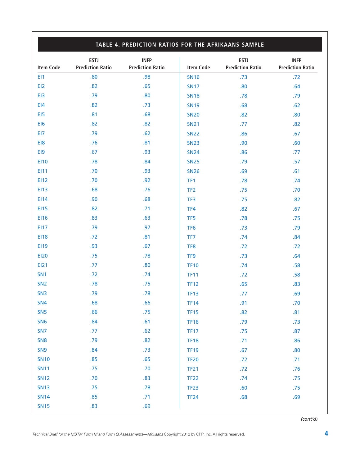|                  | TABLE 4. PREDICTION RATIOS FOR THE AFRIKAANS SAMPLE |                                        |                  |                                        |                                        |  |  |
|------------------|-----------------------------------------------------|----------------------------------------|------------------|----------------------------------------|----------------------------------------|--|--|
| <b>Item Code</b> | <b>ESTJ</b><br><b>Prediction Ratio</b>              | <b>INFP</b><br><b>Prediction Ratio</b> | <b>Item Code</b> | <b>ESTJ</b><br><b>Prediction Ratio</b> | <b>INFP</b><br><b>Prediction Ratio</b> |  |  |
| EI1              | .80                                                 | .98                                    | <b>SN16</b>      | .73                                    | .72                                    |  |  |
| EI2              | .82                                                 | .65                                    | <b>SN17</b>      | .80                                    | .64                                    |  |  |
| EI3              | .79                                                 | .80                                    | <b>SN18</b>      | .78                                    | .79                                    |  |  |
| E <sub>14</sub>  | .82                                                 | .73                                    | <b>SN19</b>      | .68                                    | .62                                    |  |  |
| EI5              | .81                                                 | .68                                    | <b>SN20</b>      | .82                                    | .80                                    |  |  |
| EI6              | .82                                                 | .82                                    | <b>SN21</b>      | .77                                    | .82                                    |  |  |
| EI7              | .79                                                 | .62                                    | <b>SN22</b>      | .86                                    | .67                                    |  |  |
| EI8              | .76                                                 | .81                                    | <b>SN23</b>      | .90                                    | .60                                    |  |  |
| EI9              | .67                                                 | .93                                    | <b>SN24</b>      | .86                                    | .77                                    |  |  |
| <b>EI10</b>      | .78                                                 | .84                                    | <b>SN25</b>      | .79                                    | .57                                    |  |  |
| EI11             | .70                                                 | .93                                    | <b>SN26</b>      | .69                                    | .61                                    |  |  |
| EI12             | .70                                                 | .92                                    | TF1              | .78                                    | .74                                    |  |  |
| <b>EI13</b>      | .68                                                 | .76                                    | TF <sub>2</sub>  | .75                                    | .70                                    |  |  |
| EI14             | .90                                                 | .68                                    | TF3              | .75                                    | .82                                    |  |  |
| <b>EI15</b>      | .82                                                 | .71                                    | TF4              | .82                                    | .67                                    |  |  |
| <b>EI16</b>      | .83                                                 | .63                                    | TF <sub>5</sub>  | .78                                    | .75                                    |  |  |
| <b>EI17</b>      | .79                                                 | .97                                    | TF <sub>6</sub>  | .73                                    | .79                                    |  |  |
| <b>EI18</b>      | .72                                                 | .81                                    | TF7              | .74                                    | .84                                    |  |  |
| EI19             | .93                                                 | .67                                    | TF <sub>8</sub>  | .72                                    | .72                                    |  |  |
| <b>EI20</b>      | .75                                                 | .78                                    | TF9              | .73                                    | .64                                    |  |  |
| <b>EI21</b>      | .77                                                 | .80                                    | <b>TF10</b>      | .74                                    | .58                                    |  |  |
| SN <sub>1</sub>  | .72                                                 | .74                                    | <b>TF11</b>      | .72                                    | .58                                    |  |  |
| SN <sub>2</sub>  | .78                                                 | .75                                    | <b>TF12</b>      | .65                                    | .83                                    |  |  |
| SN <sub>3</sub>  | .79                                                 | .78                                    | <b>TF13</b>      | .77                                    | .69                                    |  |  |
| <b>SN4</b>       | .68                                                 | .66                                    | <b>TF14</b>      | .91                                    | .70                                    |  |  |
| SN <sub>5</sub>  | .66                                                 | .75                                    | <b>TF15</b>      | .82                                    | .81                                    |  |  |
| SN <sub>6</sub>  | .84                                                 | .61                                    | <b>TF16</b>      | .79                                    | .73                                    |  |  |
| SN <sub>7</sub>  | .77                                                 | .62                                    | <b>TF17</b>      | .75                                    | .87                                    |  |  |
| SN <sub>8</sub>  | .79                                                 | .82                                    | <b>TF18</b>      | .71                                    | .86                                    |  |  |
| SN <sub>9</sub>  | .84                                                 | .73                                    | <b>TF19</b>      | .67                                    | .80                                    |  |  |
| <b>SN10</b>      | .85                                                 | .65                                    | <b>TF20</b>      | .72                                    | .71                                    |  |  |
| <b>SN11</b>      | .75                                                 | .70                                    | <b>TF21</b>      | .72                                    | .76                                    |  |  |
| <b>SN12</b>      | .70                                                 | .83                                    | <b>TF22</b>      | .74                                    | .75                                    |  |  |
| <b>SN13</b>      | .75                                                 | .78                                    | <b>TF23</b>      | .60                                    | .75                                    |  |  |
| <b>SN14</b>      | .85                                                 | .71                                    | <b>TF24</b>      | .68                                    | .69                                    |  |  |
| <b>SN15</b>      | .83                                                 | .69                                    |                  |                                        |                                        |  |  |

 $\sqrt{ }$ 

*(cont'd)*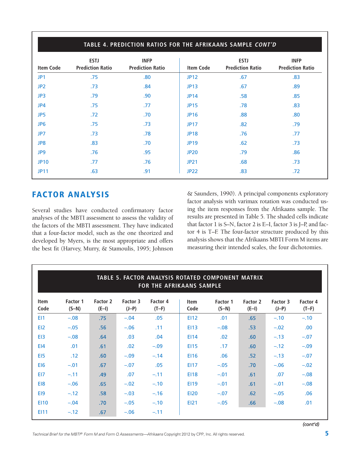| <b>Item Code</b> | <b>ESTJ</b><br><b>Prediction Ratio</b> | <b>INFP</b><br><b>Prediction Ratio</b> | <b>Item Code</b> | <b>ESTJ</b><br><b>Prediction Ratio</b> | <b>INFP</b><br><b>Prediction Ratio</b> |
|------------------|----------------------------------------|----------------------------------------|------------------|----------------------------------------|----------------------------------------|
| JP <sub>1</sub>  | .75                                    | .80                                    | <b>JP12</b>      | .67                                    | .83                                    |
| JP <sub>2</sub>  | .73                                    | .84                                    | <b>JP13</b>      | .67                                    | .89                                    |
| JP3              | .79                                    | .90                                    | <b>JP14</b>      | .58                                    | .85                                    |
| JP4              | .75                                    | .77                                    | <b>JP15</b>      | .78                                    | .83                                    |
| JP <sub>5</sub>  | .72                                    | .70                                    | <b>JP16</b>      | .88                                    | .80                                    |
| JP <sub>6</sub>  | .75                                    | .73                                    | <b>JP17</b>      | .82                                    | .79                                    |
| JP7              | .73                                    | .78                                    | <b>JP18</b>      | .76                                    | .77                                    |
| JP8              | .83                                    | .70                                    | <b>JP19</b>      | .62                                    | .73                                    |
| JP9              | .76                                    | .95                                    | <b>JP20</b>      | .79                                    | .86                                    |
| <b>JP10</b>      | .77                                    | .76                                    | <b>JP21</b>      | .68                                    | .73                                    |
| <b>JP11</b>      | .63                                    | .91                                    | <b>JP22</b>      | .83                                    | .72                                    |

## **FACTOR ANALYSIS**

Several studies have conducted confirmatory factor analyses of the MBTI assessment to assess the validity of the factors of the MBTI assessment. They have indicated that a four-factor model, such as the one theorized and developed by Myers, is the most appropriate and offers the best fit (Harvey, Murry, & Stamoulis, 1995; Johnson

& Saunders, 1990). A principal components exploratory factor analysis with varimax rotation was conducted using the item responses from the Afrikaans sample. The results are presented in Table 5. The shaded cells indicate that factor 1 is S–N, factor 2 is E–I, factor 3 is J–P, and factor 4 is T–F. The four-factor structure produced by this analysis shows that the Afrikaans MBTI Form M items are measuring their intended scales, the four dichotomies.

|                     | TABLE 5. FACTOR ANALYSIS ROTATED COMPONENT MATRIX<br><b>FOR THE AFRIKAANS SAMPLE</b> |                     |                     |                     |                     |                     |                     |                     |                     |
|---------------------|--------------------------------------------------------------------------------------|---------------------|---------------------|---------------------|---------------------|---------------------|---------------------|---------------------|---------------------|
| <b>Item</b><br>Code | Factor 1<br>$(S-N)$                                                                  | Factor 2<br>$(E-I)$ | Factor 3<br>$(J-P)$ | Factor 4<br>$(T-F)$ | <b>Item</b><br>Code | Factor 1<br>$(S-N)$ | Factor 2<br>$(E-I)$ | Factor 3<br>$(J-P)$ | Factor 4<br>$(T-F)$ |
| EI1                 | $-.08$                                                                               | .75                 | $-.04$              | .05                 | EI12                | .01                 | .65                 | $-.10$              | $-.10$              |
| EI <sub>2</sub>     | $-.05$                                                                               | .56                 | $-.06$              | .11                 | <b>EI13</b>         | $-.08$              | .53                 | $-.02$              | .00.                |
| E <sub>13</sub>     | $-.08$                                                                               | .64                 | .03                 | .04                 | E114                | .02 <sub>0</sub>    | .60                 | $-.13$              | $-.07$              |
| EI4                 | .01                                                                                  | .61                 | .02                 | $-.09$              | E115                | .17                 | .60                 | $-.12$              | $-.09$              |
| E <sub>15</sub>     | .12                                                                                  | .60                 | $-.09$              | $-.14$              | <b>EI16</b>         | .06                 | .52                 | $-.13$              | $-.07$              |
| EI <sub>6</sub>     | $-.01$                                                                               | .67                 | $-.07$              | .05                 | <b>EI17</b>         | $-.05$              | .70                 | $-.06$              | $-.02$              |
| EI7                 | $-.11$                                                                               | .49                 | .07                 | $-.11$              | <b>EI18</b>         | $-.01$              | .61                 | .07                 | $-.08$              |
| E <sub>18</sub>     | $-.06$                                                                               | .65                 | $-.02$              | $-.10$              | <b>EI19</b>         | $-.01$              | .61                 | $-.01$              | $-.08$              |
| EI9                 | $-.12$                                                                               | .58                 | $-.03$              | $-.16$              | <b>EI20</b>         | $-.07$              | .62                 | $-.05$              | .06                 |
| <b>EI10</b>         | $-.04$                                                                               | .70                 | $-.05$              | $-.10$              | <b>EI21</b>         | $-.05$              | .66                 | $-.08$              | .01                 |
| EI11                | $-.12$                                                                               | .67                 | $-.06$              | $-.11$              |                     |                     |                     |                     |                     |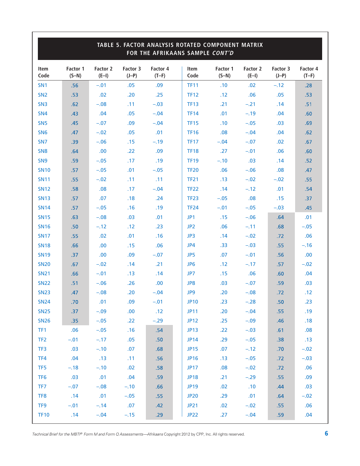|                 | TABLE 5. FACTOR ANALYSIS ROTATED COMPONENT MATRIX<br>FOR THE AFRIKAANS SAMPLE CONT'D |                     |                     |                     |                 |                     |                     |                     |                     |
|-----------------|--------------------------------------------------------------------------------------|---------------------|---------------------|---------------------|-----------------|---------------------|---------------------|---------------------|---------------------|
| Item<br>Code    | Factor 1<br>$(S-N)$                                                                  | Factor 2<br>$(E-I)$ | Factor 3<br>$(J-P)$ | Factor 4<br>$(T-F)$ | Item<br>Code    | Factor 1<br>$(S-N)$ | Factor 2<br>$(E-I)$ | Factor 3<br>$(J-P)$ | Factor 4<br>$(T-F)$ |
| SN <sub>1</sub> | .56                                                                                  | $-.01$              | .05                 | .09                 | <b>TF11</b>     | .10                 | .02                 | $-.12$              | .28                 |
| SN <sub>2</sub> | .53                                                                                  | .02                 | .20                 | .25                 | <b>TF12</b>     | .12                 | .06                 | .05                 | .53                 |
| SN <sub>3</sub> | .62                                                                                  | $-.08$              | .11                 | $-.03$              | <b>TF13</b>     | .21                 | $-.21$              | .14                 | .51                 |
| SN <sub>4</sub> | .43                                                                                  | .04                 | .05                 | $-.04$              | <b>TF14</b>     | .01                 | $-.19$              | .04                 | .60                 |
| SN <sub>5</sub> | .45                                                                                  | $-.07$              | .09                 | $-.04$              | <b>TF15</b>     | .10                 | $-.05$              | .03                 | .69                 |
| SN <sub>6</sub> | .47                                                                                  | $-.02$              | .05                 | .01                 | <b>TF16</b>     | .08                 | $-.04$              | .04                 | .62                 |
| SN <sub>7</sub> | .39                                                                                  | $-.06$              | .15                 | $-.19$              | <b>TF17</b>     | $-.04$              | $-.07$              | .02                 | .67                 |
| SN <sub>8</sub> | .64                                                                                  | .00                 | .22                 | .09                 | <b>TF18</b>     | .27                 | $-.01$              | .06                 | .60                 |
| SN <sub>9</sub> | .59                                                                                  | $-.05$              | .17                 | .19                 | <b>TF19</b>     | $-.10$              | .03                 | .14                 | .52                 |
| <b>SN10</b>     | .57                                                                                  | $-.05$              | .01                 | $-.05$              | <b>TF20</b>     | .06                 | $-.06$              | .08                 | .47                 |
| <b>SN11</b>     | .55                                                                                  | $-.02$              | .11                 | .11                 | <b>TF21</b>     | .13                 | $-.02$              | $-.02$              | .55                 |
| <b>SN12</b>     | .58                                                                                  | .08                 | .17                 | $-.04$              | <b>TF22</b>     | .14                 | $-.12$              | .01                 | .54                 |
| <b>SN13</b>     | .57                                                                                  | .07                 | .18                 | .24                 | <b>TF23</b>     | $-.05$              | .08                 | .15                 | .37                 |
| <b>SN14</b>     | .57                                                                                  | $-.05$              | .16                 | .19                 | <b>TF24</b>     | $-.01$              | $-.05$              | $-.03$              | .45                 |
| <b>SN15</b>     | .63                                                                                  | $-.08$              | .03                 | .01                 | JP1             | .15                 | $-.06$              | .64                 | .01                 |
| <b>SN16</b>     | .50                                                                                  | $-.12$              | .12                 | .23                 | JP <sub>2</sub> | .06                 | $-.11$              | .68                 | $-.05$              |
| <b>SN17</b>     | .55                                                                                  | .02                 | .01                 | .16                 | JP3             | .14                 | $-.02$              | .72                 | .06                 |
| <b>SN18</b>     | .66                                                                                  | .00                 | .15                 | .06                 | JP4             | .33                 | $-.03$              | .55                 | $-.16$              |
| <b>SN19</b>     | .37                                                                                  | .00                 | .09                 | $-.07$              | JP5             | .07                 | $-.01$              | .56                 | .00                 |
| <b>SN20</b>     | .67                                                                                  | $-.02$              | .14                 | .21                 | JP <sub>6</sub> | .12                 | $-.17$              | .57                 | $-.02$              |
| <b>SN21</b>     | .66                                                                                  | $-.01$              | .13                 | .14                 | JP7             | .15                 | .06                 | .60                 | .04                 |
| <b>SN22</b>     | .51                                                                                  | $-.06$              | .26                 | .00                 | JP8             | .03                 | $-.07$              | .59                 | .03                 |
| <b>SN23</b>     | .47                                                                                  | $-.08$              | .20                 | $-.04$              | JP9             | .20                 | $-.08$              | .72                 | .12                 |
| <b>SN24</b>     | .70                                                                                  | .01                 | .09                 | $-.01$              | <b>JP10</b>     | .23                 | $-.28$              | .50                 | .23                 |
| <b>SN25</b>     | .37                                                                                  | $-.09$              | .00.                | .12                 | <b>JP11</b>     | .20                 | $-.04$              | .55                 | .19                 |
| <b>SN26</b>     | .35                                                                                  | $-.05$              | .22                 | $-.29$              | <b>JP12</b>     | .25                 | $-.09$              | .46                 | .18                 |
| TF1             | .06                                                                                  | $-.05$              | .16                 | .54                 | <b>JP13</b>     | .22                 | $-.03$              | .61                 | .08                 |
| TF <sub>2</sub> | $-.01$                                                                               | $-.17$              | .05                 | .50 <sub>1</sub>    | <b>JP14</b>     | .29                 | $-.05$              | .38                 | .13                 |
| TF3             | .03                                                                                  | $-.10$              | .07                 | .68                 | <b>JP15</b>     | .07                 | $-.12$              | .70                 | $-.02$              |
| TF4             | .04                                                                                  | .13                 | .11                 | .56                 | <b>JP16</b>     | .13                 | $-.05$              | .72                 | $-.03$              |
| TF <sub>5</sub> | $-.18$                                                                               | $-.10$              | .02                 | .58                 | <b>JP17</b>     | .08                 | $-.02$              | .72                 | .06                 |
| TF <sub>6</sub> | .03                                                                                  | .01                 | .04                 | .59                 | <b>JP18</b>     | .21                 | $-.29$              | .55                 | .09                 |
| TF7             | $-.07$                                                                               | $-.08$              | $-.10$              | .66                 | <b>JP19</b>     | .02                 | .10                 | .44                 | .03                 |
| TF8             | .14                                                                                  | .01                 | $-.05$              | .55                 | <b>JP20</b>     | .29                 | .01                 | .64                 | $-.02$              |
| TF <sub>9</sub> | $-.01$                                                                               | $-.14$              | .07                 | .42                 | <b>JP21</b>     | .02                 | $-.02$              | .55                 | .06                 |
| <b>TF10</b>     | .14                                                                                  | $-.04$              | $-.15$              | .29                 | <b>JP22</b>     | .27                 | $-.04$              | .59                 | .04                 |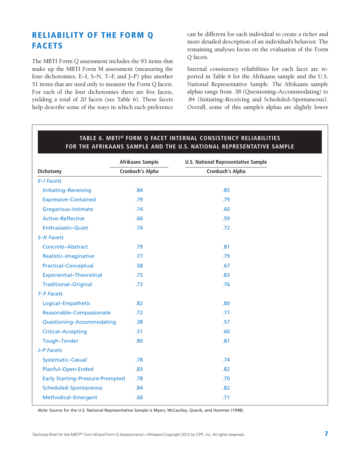# **RELIABILITY OF THE FORM Q FACETS**

The MBTI Form Q assessment includes the 93 items that make up the MBTI Form M assessment (measuring the four dichotomies, E–I, S–N, T–F, and J–P) plus another 51 items that are used only to measure the Form Q facets. For each of the four dichotomies there are five facets, yielding a total of 20 facets (see Table 6). These facets help describe some of the ways in which each preference

can be different for each individual to create a richer and more detailed description of an individual's behavior. The remaining analyses focus on the evaluation of the Form Q facets.

Internal consistency reliabilities for each facet are reported in Table 6 for the Afrikaans sample and the U.S. National Representative Sample. The Afrikaans sample alphas range from .38 (Questioning–Accommodating) to .84 (Initiating–Receiving and Scheduled–Spontaneous). Overall, some of this sample's alphas are slightly lower

|                                         | Afrikaans Sample | <b>U.S. National Representative Sample</b> |  |  |
|-----------------------------------------|------------------|--------------------------------------------|--|--|
| Dichotomy                               | Cronbach's Alpha | Cronbach's Alpha                           |  |  |
| <b>E-I Facets</b>                       |                  |                                            |  |  |
| Initiating-Receiving                    | .84              | .85                                        |  |  |
| <b>Expressive-Contained</b>             | .79              | .79                                        |  |  |
| Gregarious-Intimate                     | .74              | .60                                        |  |  |
| <b>Active-Reflective</b>                | .66              | .59                                        |  |  |
| Enthusiastic-Quiet                      | .74              | .72                                        |  |  |
| <b>S-N Facets</b>                       |                  |                                            |  |  |
| Concrete-Abstract                       | .79              | .81                                        |  |  |
| Realistic-Imaginative                   | .77              | .79                                        |  |  |
| <b>Practical-Conceptual</b>             | .58              | .67                                        |  |  |
| <b>Experiential-Theoretical</b>         | .75              | .83                                        |  |  |
| <b>Traditional-Original</b>             | .73              | .76                                        |  |  |
| T-F Facets                              |                  |                                            |  |  |
| Logical-Empathetic                      | .82              | .80                                        |  |  |
| Reasonable-Compassionate                | .72              | .77                                        |  |  |
| Questioning-Accommodating               | .38              | .57                                        |  |  |
| <b>Critical-Accepting</b>               | .51              | .60                                        |  |  |
| Tough-Tender                            | .80              | .81                                        |  |  |
| J-P Facets                              |                  |                                            |  |  |
| Systematic-Casual                       | .78              | .74                                        |  |  |
| Planful-Open-Ended                      | .83              | .82                                        |  |  |
| <b>Early Starting-Pressure-Prompted</b> | .78              | .70                                        |  |  |
| Scheduled-Spontaneous                   | .84              | .82                                        |  |  |
| Methodical-Emergent                     | .66              | .71                                        |  |  |

#### **TABLE 6. MBTI® FORM Q FACET INTERNAL CONSISTENCY RELIABILITIES FOR THE AFRIKAANS SAMPLE AND THE U.S. NATIONAL REPRESENTATIVE SAMPLE**

*Note:* Source for the U.S. National Representative Sample is Myers, McCaulley, Quenk, and Hammer (1998).